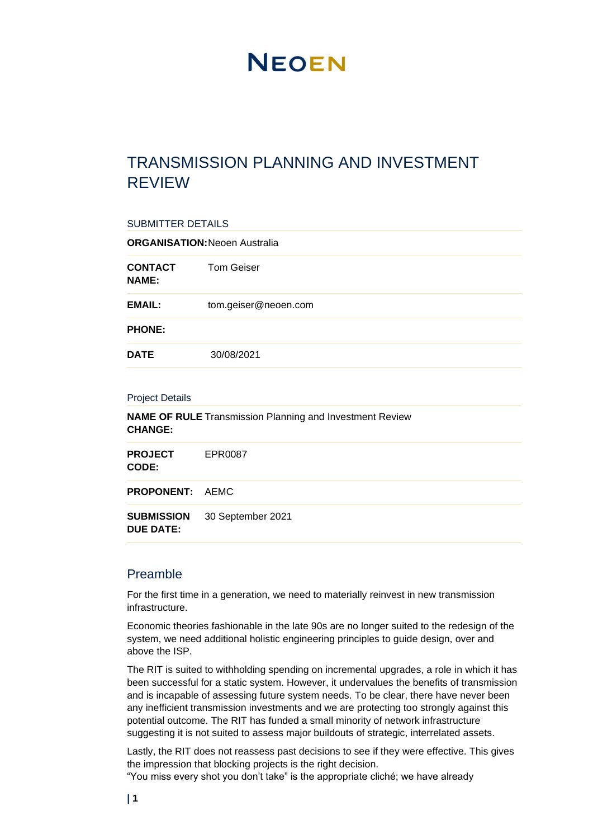# **NEOEN**

# TRANSMISSION PLANNING AND INVESTMENT REVIEW

| <b>SUBMITTER DETAILS</b>                 |                                                                 |  |
|------------------------------------------|-----------------------------------------------------------------|--|
|                                          | <b>ORGANISATION: Neoen Australia</b>                            |  |
| <b>CONTACT</b><br><b>NAME:</b>           | <b>Tom Geiser</b>                                               |  |
| <b>EMAIL:</b>                            | tom.geiser@neoen.com                                            |  |
| <b>PHONE:</b>                            |                                                                 |  |
| <b>DATE</b>                              | 30/08/2021                                                      |  |
| <b>Project Details</b><br><b>CHANGE:</b> | <b>NAME OF RULE</b> Transmission Planning and Investment Review |  |
| <b>PROJECT</b><br>CODE:                  | EPR0087                                                         |  |
| <b>PROPONENT:</b>                        | <b>AEMC</b>                                                     |  |
| <b>SUBMISSION</b><br><b>DUE DATE:</b>    | 30 September 2021                                               |  |
|                                          |                                                                 |  |

### Preamble

For the first time in a generation, we need to materially reinvest in new transmission infrastructure.

Economic theories fashionable in the late 90s are no longer suited to the redesign of the system, we need additional holistic engineering principles to guide design, over and above the ISP.

The RIT is suited to withholding spending on incremental upgrades, a role in which it has been successful for a static system. However, it undervalues the benefits of transmission and is incapable of assessing future system needs. To be clear, there have never been any inefficient transmission investments and we are protecting too strongly against this potential outcome. The RIT has funded a small minority of network infrastructure suggesting it is not suited to assess major buildouts of strategic, interrelated assets.

Lastly, the RIT does not reassess past decisions to see if they were effective. This gives the impression that blocking projects is the right decision.

"You miss every shot you don't take" is the appropriate cliché; we have already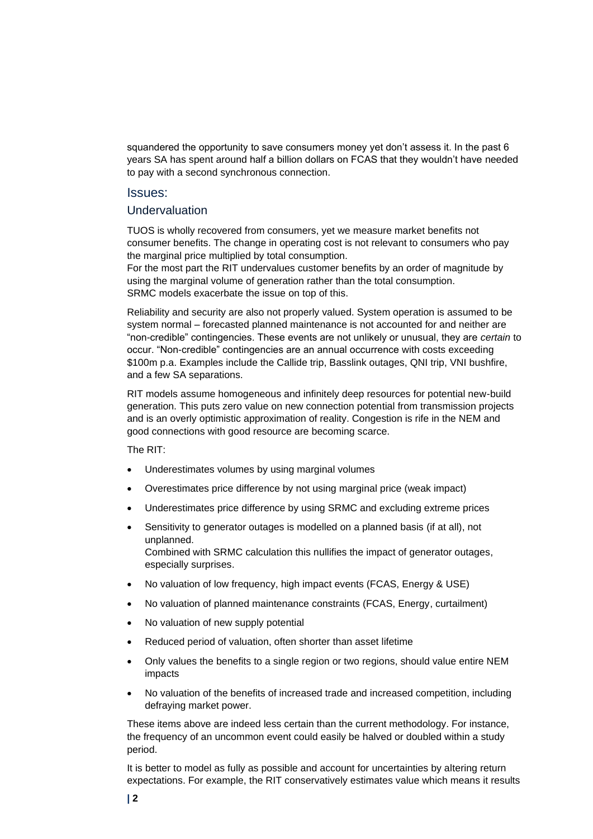squandered the opportunity to save consumers money yet don't assess it. In the past 6 years SA has spent around half a billion dollars on FCAS that they wouldn't have needed to pay with a second synchronous connection.

#### Issues:

#### Undervaluation

TUOS is wholly recovered from consumers, yet we measure market benefits not consumer benefits. The change in operating cost is not relevant to consumers who pay the marginal price multiplied by total consumption.

For the most part the RIT undervalues customer benefits by an order of magnitude by using the marginal volume of generation rather than the total consumption. SRMC models exacerbate the issue on top of this.

Reliability and security are also not properly valued. System operation is assumed to be system normal – forecasted planned maintenance is not accounted for and neither are "non-credible" contingencies. These events are not unlikely or unusual, they are *certain* to occur. "Non-credible" contingencies are an annual occurrence with costs exceeding \$100m p.a. Examples include the Callide trip, Basslink outages, QNI trip, VNI bushfire, and a few SA separations.

RIT models assume homogeneous and infinitely deep resources for potential new-build generation. This puts zero value on new connection potential from transmission projects and is an overly optimistic approximation of reality. Congestion is rife in the NEM and good connections with good resource are becoming scarce.

The RIT:

- Underestimates volumes by using marginal volumes
- Overestimates price difference by not using marginal price (weak impact)
- Underestimates price difference by using SRMC and excluding extreme prices
- Sensitivity to generator outages is modelled on a planned basis (if at all), not unplanned. Combined with SRMC calculation this nullifies the impact of generator outages, especially surprises.
- No valuation of low frequency, high impact events (FCAS, Energy & USE)
- No valuation of planned maintenance constraints (FCAS, Energy, curtailment)
- No valuation of new supply potential
- Reduced period of valuation, often shorter than asset lifetime
- Only values the benefits to a single region or two regions, should value entire NEM impacts
- No valuation of the benefits of increased trade and increased competition, including defraying market power.

These items above are indeed less certain than the current methodology. For instance, the frequency of an uncommon event could easily be halved or doubled within a study period.

It is better to model as fully as possible and account for uncertainties by altering return expectations. For example, the RIT conservatively estimates value which means it results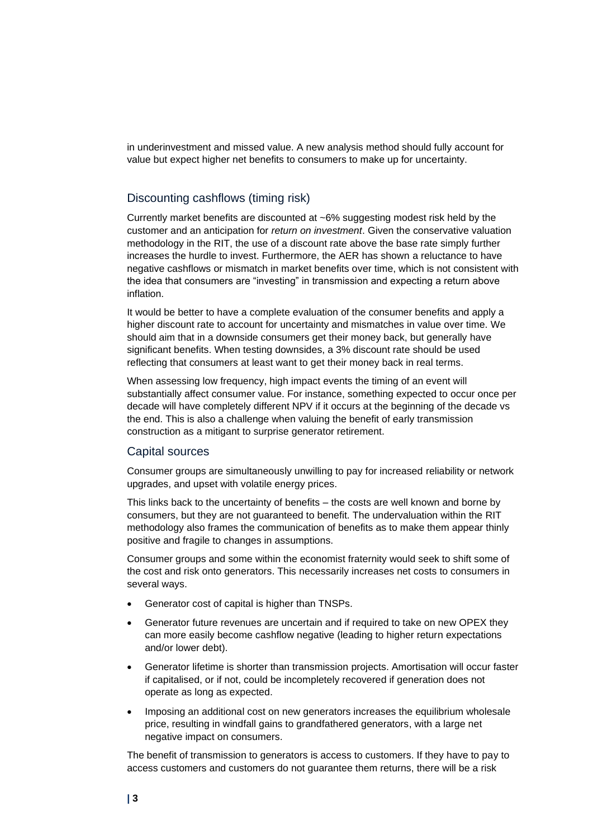in underinvestment and missed value. A new analysis method should fully account for value but expect higher net benefits to consumers to make up for uncertainty.

#### Discounting cashflows (timing risk)

Currently market benefits are discounted at ~6% suggesting modest risk held by the customer and an anticipation for *return on investment*. Given the conservative valuation methodology in the RIT, the use of a discount rate above the base rate simply further increases the hurdle to invest. Furthermore, the AER has shown a reluctance to have negative cashflows or mismatch in market benefits over time, which is not consistent with the idea that consumers are "investing" in transmission and expecting a return above inflation.

It would be better to have a complete evaluation of the consumer benefits and apply a higher discount rate to account for uncertainty and mismatches in value over time. We should aim that in a downside consumers get their money back, but generally have significant benefits. When testing downsides, a 3% discount rate should be used reflecting that consumers at least want to get their money back in real terms.

When assessing low frequency, high impact events the timing of an event will substantially affect consumer value. For instance, something expected to occur once per decade will have completely different NPV if it occurs at the beginning of the decade vs the end. This is also a challenge when valuing the benefit of early transmission construction as a mitigant to surprise generator retirement.

#### Capital sources

Consumer groups are simultaneously unwilling to pay for increased reliability or network upgrades, and upset with volatile energy prices.

This links back to the uncertainty of benefits – the costs are well known and borne by consumers, but they are not guaranteed to benefit. The undervaluation within the RIT methodology also frames the communication of benefits as to make them appear thinly positive and fragile to changes in assumptions.

Consumer groups and some within the economist fraternity would seek to shift some of the cost and risk onto generators. This necessarily increases net costs to consumers in several ways.

- Generator cost of capital is higher than TNSPs.
- Generator future revenues are uncertain and if required to take on new OPEX they can more easily become cashflow negative (leading to higher return expectations and/or lower debt).
- Generator lifetime is shorter than transmission projects. Amortisation will occur faster if capitalised, or if not, could be incompletely recovered if generation does not operate as long as expected.
- Imposing an additional cost on new generators increases the equilibrium wholesale price, resulting in windfall gains to grandfathered generators, with a large net negative impact on consumers.

The benefit of transmission to generators is access to customers. If they have to pay to access customers and customers do not guarantee them returns, there will be a risk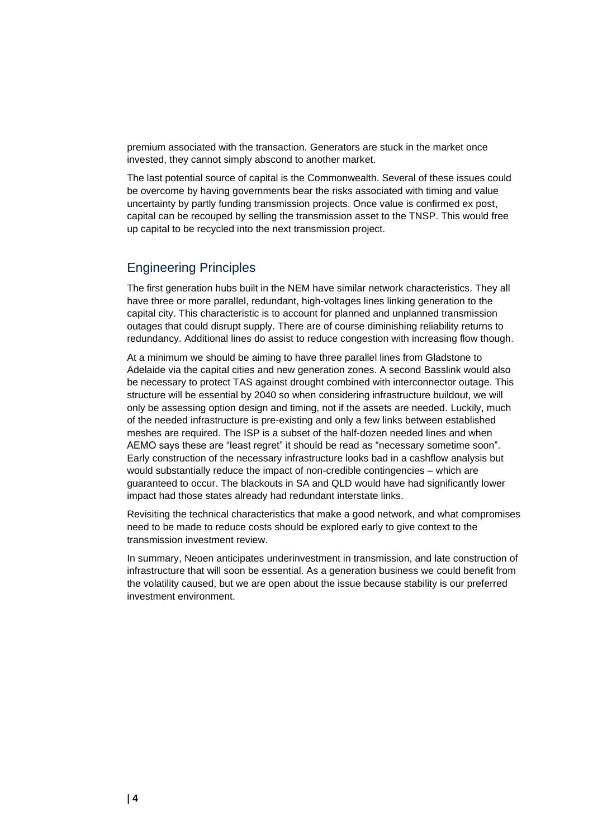premium associated with the transaction. Generators are stuck in the market once invested, they cannot simply abscond to another market.

The last potential source of capital is the Commonwealth. Several of these issues could be overcome by having governments bear the risks associated with timing and value uncertainty by partly funding transmission projects. Once value is confirmed ex post, capital can be recouped by selling the transmission asset to the TNSP. This would free up capital to be recycled into the next transmission project.

# Engineering Principles

The first generation hubs built in the NEM have similar network characteristics. They all have three or more parallel, redundant, high-voltages lines linking generation to the capital city. This characteristic is to account for planned and unplanned transmission outages that could disrupt supply. There are of course diminishing reliability returns to redundancy. Additional lines do assist to reduce congestion with increasing flow though.

At a minimum we should be aiming to have three parallel lines from Gladstone to Adelaide via the capital cities and new generation zones. A second Basslink would also be necessary to protect TAS against drought combined with interconnector outage. This structure will be essential by 2040 so when considering infrastructure buildout, we will only be assessing option design and timing, not if the assets are needed. Luckily, much of the needed infrastructure is pre-existing and only a few links between established meshes are required. The ISP is a subset of the half-dozen needed lines and when AEMO says these are "least regret" it should be read as "necessary sometime soon". Early construction of the necessary infrastructure looks bad in a cashflow analysis but would substantially reduce the impact of non-credible contingencies – which are guaranteed to occur. The blackouts in SA and QLD would have had significantly lower impact had those states already had redundant interstate links.

Revisiting the technical characteristics that make a good network, and what compromises need to be made to reduce costs should be explored early to give context to the transmission investment review.

In summary, Neoen anticipates underinvestment in transmission, and late construction of infrastructure that will soon be essential. As a generation business we could benefit from the volatility caused, but we are open about the issue because stability is our preferred investment environment.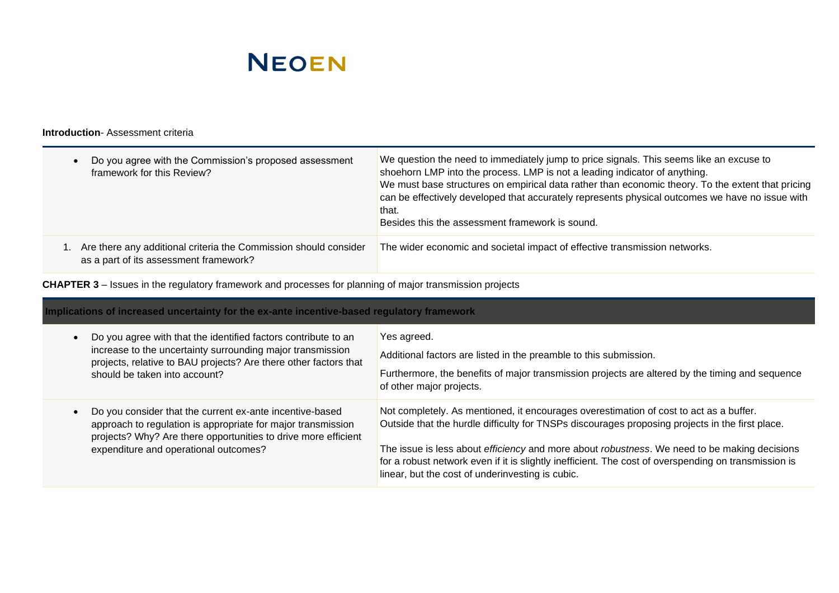

#### **Introduction**- Assessment criteria

| Do you agree with the Commission's proposed assessment<br>framework for this Review?                       | We question the need to immediately jump to price signals. This seems like an excuse to<br>shoehorn LMP into the process. LMP is not a leading indicator of anything.<br>We must base structures on empirical data rather than economic theory. To the extent that pricing<br>can be effectively developed that accurately represents physical outcomes we have no issue with<br>that.<br>Besides this the assessment framework is sound. |
|------------------------------------------------------------------------------------------------------------|-------------------------------------------------------------------------------------------------------------------------------------------------------------------------------------------------------------------------------------------------------------------------------------------------------------------------------------------------------------------------------------------------------------------------------------------|
| Are there any additional criteria the Commission should consider<br>as a part of its assessment framework? | The wider economic and societal impact of effective transmission networks.                                                                                                                                                                                                                                                                                                                                                                |

**CHAPTER 3** – Issues in the regulatory framework and processes for planning of major transmission projects

| Implications of increased uncertainty for the ex-ante incentive-based regulatory framework                                                                                                                                          |                                                                                                                                                                                                                                                                                                                                                                                                                                                       |  |
|-------------------------------------------------------------------------------------------------------------------------------------------------------------------------------------------------------------------------------------|-------------------------------------------------------------------------------------------------------------------------------------------------------------------------------------------------------------------------------------------------------------------------------------------------------------------------------------------------------------------------------------------------------------------------------------------------------|--|
| Do you agree with that the identified factors contribute to an<br>increase to the uncertainty surrounding major transmission<br>projects, relative to BAU projects? Are there other factors that<br>should be taken into account?   | Yes agreed.<br>Additional factors are listed in the preamble to this submission.<br>Furthermore, the benefits of major transmission projects are altered by the timing and sequence<br>of other major projects.                                                                                                                                                                                                                                       |  |
| Do you consider that the current ex-ante incentive-based<br>approach to regulation is appropriate for major transmission<br>projects? Why? Are there opportunities to drive more efficient<br>expenditure and operational outcomes? | Not completely. As mentioned, it encourages overestimation of cost to act as a buffer.<br>Outside that the hurdle difficulty for TNSPs discourages proposing projects in the first place.<br>The issue is less about efficiency and more about robustness. We need to be making decisions<br>for a robust network even if it is slightly inefficient. The cost of overspending on transmission is<br>linear, but the cost of underinvesting is cubic. |  |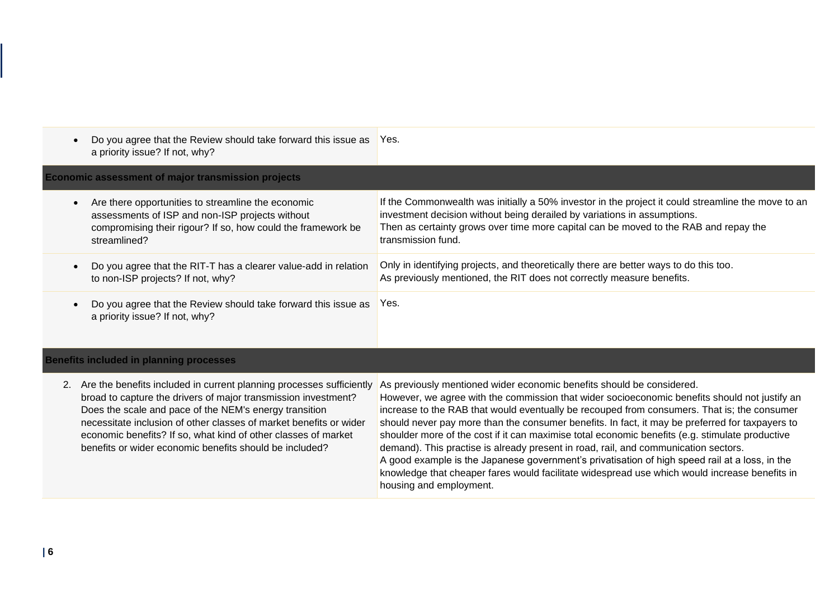| Do you agree that the Review should take forward this issue as<br>a priority issue? If not, why?                                                                                      | Yes.                                                                                                                                                                                                                                                                                         |  |
|---------------------------------------------------------------------------------------------------------------------------------------------------------------------------------------|----------------------------------------------------------------------------------------------------------------------------------------------------------------------------------------------------------------------------------------------------------------------------------------------|--|
| <b>Economic assessment of major transmission projects</b>                                                                                                                             |                                                                                                                                                                                                                                                                                              |  |
| Are there opportunities to streamline the economic<br>assessments of ISP and non-ISP projects without<br>compromising their rigour? If so, how could the framework be<br>streamlined? | If the Commonwealth was initially a 50% investor in the project it could streamline the move to an<br>investment decision without being derailed by variations in assumptions.<br>Then as certainty grows over time more capital can be moved to the RAB and repay the<br>transmission fund. |  |
| Do you agree that the RIT-T has a clearer value-add in relation<br>to non-ISP projects? If not, why?                                                                                  | Only in identifying projects, and theoretically there are better ways to do this too.<br>As previously mentioned, the RIT does not correctly measure benefits.                                                                                                                               |  |
| Do you agree that the Review should take forward this issue as<br>a priority issue? If not, why?                                                                                      | Yes.                                                                                                                                                                                                                                                                                         |  |

### **Benefits included in planning processes**

|  | 2. Are the benefits included in current planning processes sufficiently<br>broad to capture the drivers of major transmission investment?<br>Does the scale and pace of the NEM's energy transition<br>necessitate inclusion of other classes of market benefits or wider<br>economic benefits? If so, what kind of other classes of market<br>benefits or wider economic benefits should be included? | As previously mentioned wider economic benefits should be considered.<br>However, we agree with the commission that wider socioeconomic benefits should not justify an<br>increase to the RAB that would eventually be recouped from consumers. That is; the consumer<br>should never pay more than the consumer benefits. In fact, it may be preferred for taxpayers to<br>shoulder more of the cost if it can maximise total economic benefits (e.g. stimulate productive<br>demand). This practise is already present in road, rail, and communication sectors.<br>A good example is the Japanese government's privatisation of high speed rail at a loss, in the<br>knowledge that cheaper fares would facilitate widespread use which would increase benefits in<br>housing and employment. |
|--|--------------------------------------------------------------------------------------------------------------------------------------------------------------------------------------------------------------------------------------------------------------------------------------------------------------------------------------------------------------------------------------------------------|--------------------------------------------------------------------------------------------------------------------------------------------------------------------------------------------------------------------------------------------------------------------------------------------------------------------------------------------------------------------------------------------------------------------------------------------------------------------------------------------------------------------------------------------------------------------------------------------------------------------------------------------------------------------------------------------------------------------------------------------------------------------------------------------------|
|--|--------------------------------------------------------------------------------------------------------------------------------------------------------------------------------------------------------------------------------------------------------------------------------------------------------------------------------------------------------------------------------------------------------|--------------------------------------------------------------------------------------------------------------------------------------------------------------------------------------------------------------------------------------------------------------------------------------------------------------------------------------------------------------------------------------------------------------------------------------------------------------------------------------------------------------------------------------------------------------------------------------------------------------------------------------------------------------------------------------------------------------------------------------------------------------------------------------------------|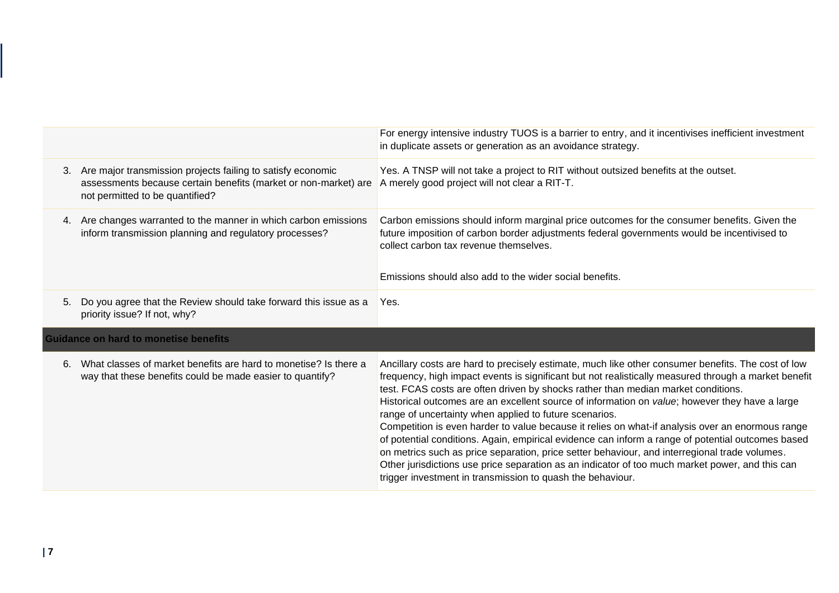|    |                                                                                                                                                                   | For energy intensive industry TUOS is a barrier to entry, and it incentivises inefficient investment<br>in duplicate assets or generation as an avoidance strategy.                                                                                                                                                                                                                                                                                                                                                                                                                                                                                                                                                                                                                                                                                                                                                                    |
|----|-------------------------------------------------------------------------------------------------------------------------------------------------------------------|----------------------------------------------------------------------------------------------------------------------------------------------------------------------------------------------------------------------------------------------------------------------------------------------------------------------------------------------------------------------------------------------------------------------------------------------------------------------------------------------------------------------------------------------------------------------------------------------------------------------------------------------------------------------------------------------------------------------------------------------------------------------------------------------------------------------------------------------------------------------------------------------------------------------------------------|
| 3. | Are major transmission projects failing to satisfy economic<br>assessments because certain benefits (market or non-market) are<br>not permitted to be quantified? | Yes. A TNSP will not take a project to RIT without outsized benefits at the outset.<br>A merely good project will not clear a RIT-T.                                                                                                                                                                                                                                                                                                                                                                                                                                                                                                                                                                                                                                                                                                                                                                                                   |
|    | 4. Are changes warranted to the manner in which carbon emissions<br>inform transmission planning and regulatory processes?                                        | Carbon emissions should inform marginal price outcomes for the consumer benefits. Given the<br>future imposition of carbon border adjustments federal governments would be incentivised to<br>collect carbon tax revenue themselves.<br>Emissions should also add to the wider social benefits.                                                                                                                                                                                                                                                                                                                                                                                                                                                                                                                                                                                                                                        |
| 5. | Do you agree that the Review should take forward this issue as a<br>priority issue? If not, why?                                                                  | Yes.                                                                                                                                                                                                                                                                                                                                                                                                                                                                                                                                                                                                                                                                                                                                                                                                                                                                                                                                   |
|    | <b>Guidance on hard to monetise benefits</b>                                                                                                                      |                                                                                                                                                                                                                                                                                                                                                                                                                                                                                                                                                                                                                                                                                                                                                                                                                                                                                                                                        |
| 6. | What classes of market benefits are hard to monetise? Is there a<br>way that these benefits could be made easier to quantify?                                     | Ancillary costs are hard to precisely estimate, much like other consumer benefits. The cost of low<br>frequency, high impact events is significant but not realistically measured through a market benefit<br>test. FCAS costs are often driven by shocks rather than median market conditions.<br>Historical outcomes are an excellent source of information on value; however they have a large<br>range of uncertainty when applied to future scenarios.<br>Competition is even harder to value because it relies on what-if analysis over an enormous range<br>of potential conditions. Again, empirical evidence can inform a range of potential outcomes based<br>on metrics such as price separation, price setter behaviour, and interregional trade volumes.<br>Other jurisdictions use price separation as an indicator of too much market power, and this can<br>trigger investment in transmission to quash the behaviour. |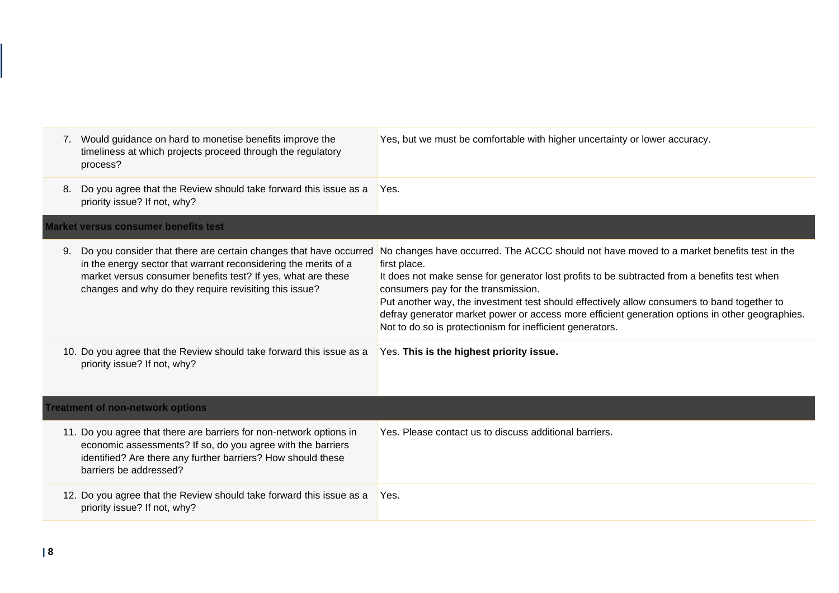| 7. | Would guidance on hard to monetise benefits improve the<br>timeliness at which projects proceed through the regulatory<br>process?                                                                                                                             | Yes, but we must be comfortable with higher uncertainty or lower accuracy.                                                                                                                                                                                                                                                                                                                                                                                                                                      |
|----|----------------------------------------------------------------------------------------------------------------------------------------------------------------------------------------------------------------------------------------------------------------|-----------------------------------------------------------------------------------------------------------------------------------------------------------------------------------------------------------------------------------------------------------------------------------------------------------------------------------------------------------------------------------------------------------------------------------------------------------------------------------------------------------------|
| 8. | Do you agree that the Review should take forward this issue as a<br>priority issue? If not, why?                                                                                                                                                               | Yes.                                                                                                                                                                                                                                                                                                                                                                                                                                                                                                            |
|    | <b>Market versus consumer benefits test</b>                                                                                                                                                                                                                    |                                                                                                                                                                                                                                                                                                                                                                                                                                                                                                                 |
| 9. | Do you consider that there are certain changes that have occurred<br>in the energy sector that warrant reconsidering the merits of a<br>market versus consumer benefits test? If yes, what are these<br>changes and why do they require revisiting this issue? | No changes have occurred. The ACCC should not have moved to a market benefits test in the<br>first place.<br>It does not make sense for generator lost profits to be subtracted from a benefits test when<br>consumers pay for the transmission.<br>Put another way, the investment test should effectively allow consumers to band together to<br>defray generator market power or access more efficient generation options in other geographies.<br>Not to do so is protectionism for inefficient generators. |
|    | 10. Do you agree that the Review should take forward this issue as a<br>priority issue? If not, why?                                                                                                                                                           | Yes. This is the highest priority issue.                                                                                                                                                                                                                                                                                                                                                                                                                                                                        |
|    | <b>Treatment of non-network options</b>                                                                                                                                                                                                                        |                                                                                                                                                                                                                                                                                                                                                                                                                                                                                                                 |
|    | 11. Do you agree that there are barriers for non-network options in<br>economic assessments? If so, do you agree with the barriers<br>identified? Are there any further barriers? How should these<br>barriers be addressed?                                   | Yes. Please contact us to discuss additional barriers.                                                                                                                                                                                                                                                                                                                                                                                                                                                          |
|    | 12. Do you agree that the Review should take forward this issue as a<br>priority issue? If not, why?                                                                                                                                                           | Yes.                                                                                                                                                                                                                                                                                                                                                                                                                                                                                                            |
|    |                                                                                                                                                                                                                                                                |                                                                                                                                                                                                                                                                                                                                                                                                                                                                                                                 |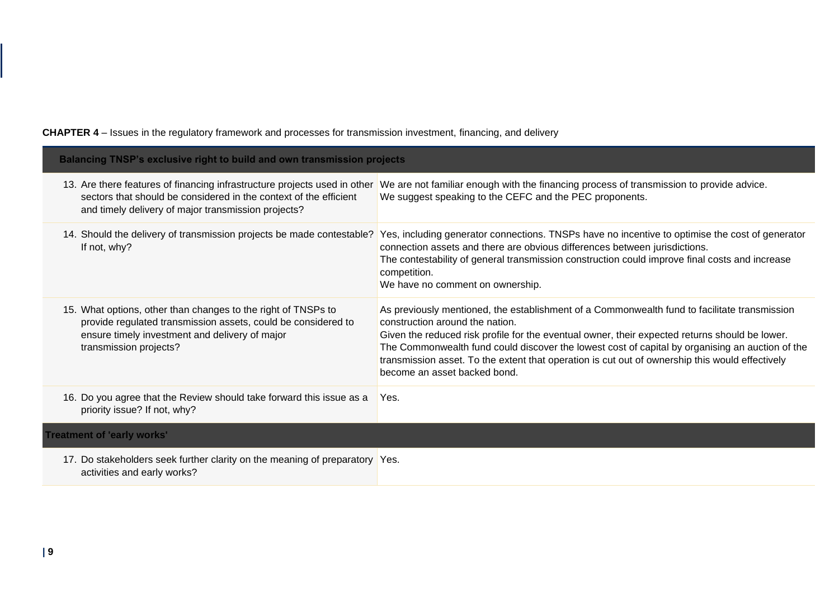| <b>Balancing TNSP's exclusive right to build and own transmission projects</b>                                                                                                                             |                                                                                                                                                                                                                                                                                                                                                                                                                                                                         |  |
|------------------------------------------------------------------------------------------------------------------------------------------------------------------------------------------------------------|-------------------------------------------------------------------------------------------------------------------------------------------------------------------------------------------------------------------------------------------------------------------------------------------------------------------------------------------------------------------------------------------------------------------------------------------------------------------------|--|
| 13. Are there features of financing infrastructure projects used in other<br>sectors that should be considered in the context of the efficient<br>and timely delivery of major transmission projects?      | We are not familiar enough with the financing process of transmission to provide advice.<br>We suggest speaking to the CEFC and the PEC proponents.                                                                                                                                                                                                                                                                                                                     |  |
| 14. Should the delivery of transmission projects be made contestable?<br>If not, why?                                                                                                                      | Yes, including generator connections. TNSPs have no incentive to optimise the cost of generator<br>connection assets and there are obvious differences between jurisdictions.<br>The contestability of general transmission construction could improve final costs and increase<br>competition.<br>We have no comment on ownership.                                                                                                                                     |  |
| 15. What options, other than changes to the right of TNSPs to<br>provide regulated transmission assets, could be considered to<br>ensure timely investment and delivery of major<br>transmission projects? | As previously mentioned, the establishment of a Commonwealth fund to facilitate transmission<br>construction around the nation.<br>Given the reduced risk profile for the eventual owner, their expected returns should be lower.<br>The Commonwealth fund could discover the lowest cost of capital by organising an auction of the<br>transmission asset. To the extent that operation is cut out of ownership this would effectively<br>become an asset backed bond. |  |
| 16. Do you agree that the Review should take forward this issue as a<br>priority issue? If not, why?                                                                                                       | Yes.                                                                                                                                                                                                                                                                                                                                                                                                                                                                    |  |
| <b>Treatment of 'early works'</b>                                                                                                                                                                          |                                                                                                                                                                                                                                                                                                                                                                                                                                                                         |  |
| 17. Do stakeholders seek further clarity on the meaning of preparatory Yes.<br>activities and early works?                                                                                                 |                                                                                                                                                                                                                                                                                                                                                                                                                                                                         |  |

# **CHAPTER 4** – Issues in the regulatory framework and processes for transmission investment, financing, and delivery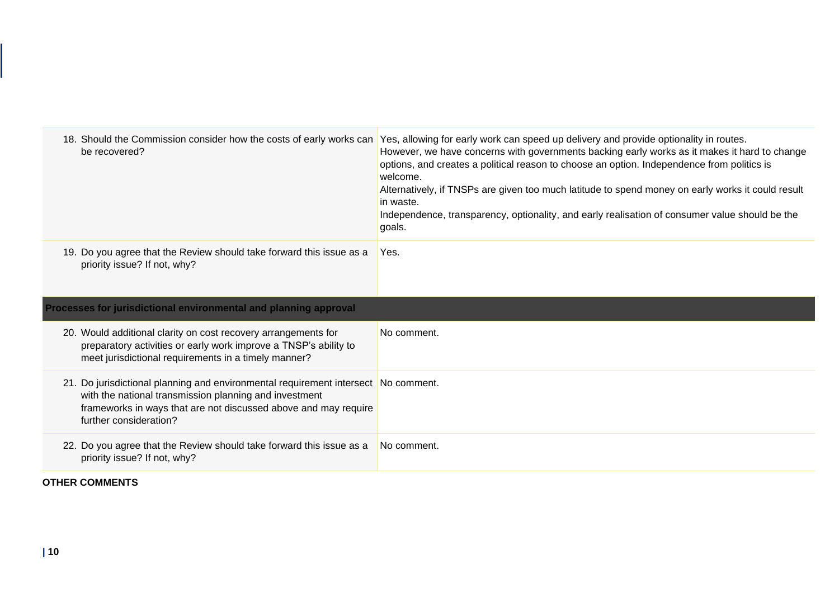| 18. Should the Commission consider how the costs of early works can<br>be recovered?                                                                                                                                                      | Yes, allowing for early work can speed up delivery and provide optionality in routes.<br>However, we have concerns with governments backing early works as it makes it hard to change<br>options, and creates a political reason to choose an option. Independence from politics is<br>welcome.<br>Alternatively, if TNSPs are given too much latitude to spend money on early works it could result<br>in waste.<br>Independence, transparency, optionality, and early realisation of consumer value should be the<br>goals. |  |
|-------------------------------------------------------------------------------------------------------------------------------------------------------------------------------------------------------------------------------------------|-------------------------------------------------------------------------------------------------------------------------------------------------------------------------------------------------------------------------------------------------------------------------------------------------------------------------------------------------------------------------------------------------------------------------------------------------------------------------------------------------------------------------------|--|
| 19. Do you agree that the Review should take forward this issue as a<br>priority issue? If not, why?                                                                                                                                      | Yes.                                                                                                                                                                                                                                                                                                                                                                                                                                                                                                                          |  |
| Processes for jurisdictional environmental and planning approval                                                                                                                                                                          |                                                                                                                                                                                                                                                                                                                                                                                                                                                                                                                               |  |
| 20. Would additional clarity on cost recovery arrangements for<br>preparatory activities or early work improve a TNSP's ability to<br>meet jurisdictional requirements in a timely manner?                                                | No comment.                                                                                                                                                                                                                                                                                                                                                                                                                                                                                                                   |  |
| 21. Do jurisdictional planning and environmental requirement intersect No comment.<br>with the national transmission planning and investment<br>frameworks in ways that are not discussed above and may require<br>further consideration? |                                                                                                                                                                                                                                                                                                                                                                                                                                                                                                                               |  |
| 22. Do you agree that the Review should take forward this issue as a<br>priority issue? If not, why?                                                                                                                                      | No comment.                                                                                                                                                                                                                                                                                                                                                                                                                                                                                                                   |  |
|                                                                                                                                                                                                                                           |                                                                                                                                                                                                                                                                                                                                                                                                                                                                                                                               |  |

# **OTHER COMMENTS**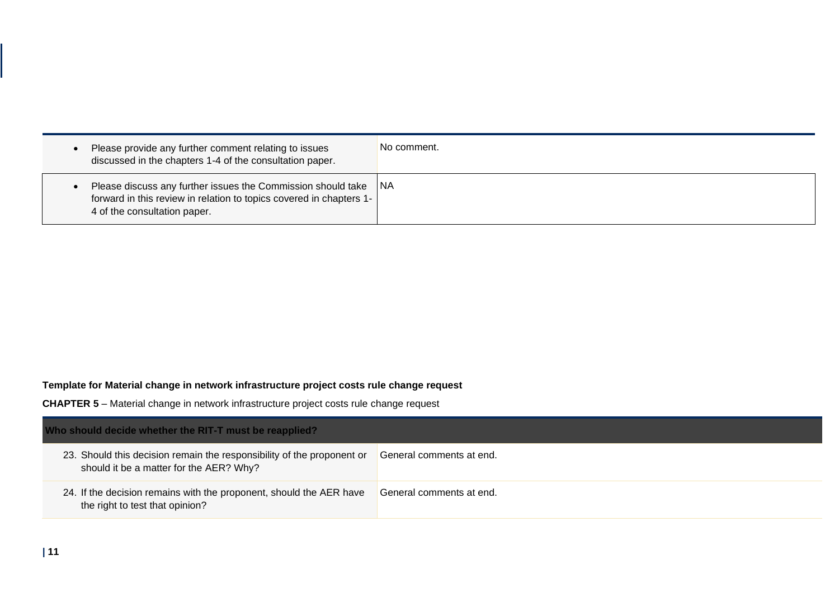| Please provide any further comment relating to issues<br>discussed in the chapters 1-4 of the consultation paper.                                                   | No comment. |
|---------------------------------------------------------------------------------------------------------------------------------------------------------------------|-------------|
| Please discuss any further issues the Commission should take<br>forward in this review in relation to topics covered in chapters 1-<br>4 of the consultation paper. | 1NA         |

### **Template for Material change in network infrastructure project costs rule change request**

**CHAPTER 5** – Material change in network infrastructure project costs rule change request

| Who should decide whether the RIT-T must be reapplied?                                                            |                          |  |
|-------------------------------------------------------------------------------------------------------------------|--------------------------|--|
| 23. Should this decision remain the responsibility of the proponent or<br>should it be a matter for the AER? Why? | General comments at end. |  |
| 24. If the decision remains with the proponent, should the AER have<br>the right to test that opinion?            | General comments at end. |  |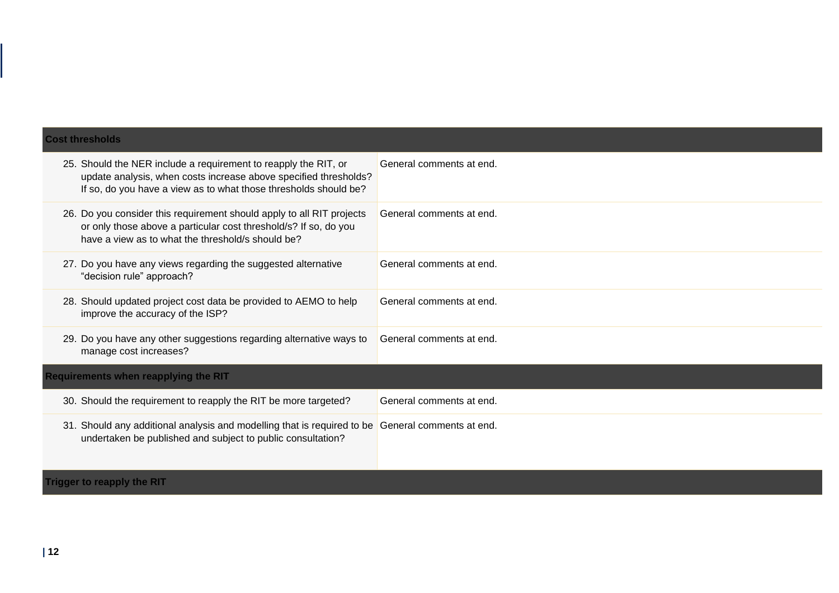| <b>Cost thresholds</b>                                                                                                                                                                                  |                          |  |
|---------------------------------------------------------------------------------------------------------------------------------------------------------------------------------------------------------|--------------------------|--|
| 25. Should the NER include a requirement to reapply the RIT, or<br>update analysis, when costs increase above specified thresholds?<br>If so, do you have a view as to what those thresholds should be? | General comments at end. |  |
| 26. Do you consider this requirement should apply to all RIT projects<br>or only those above a particular cost threshold/s? If so, do you<br>have a view as to what the threshold/s should be?          | General comments at end. |  |
| 27. Do you have any views regarding the suggested alternative<br>"decision rule" approach?                                                                                                              | General comments at end. |  |
| 28. Should updated project cost data be provided to AEMO to help<br>improve the accuracy of the ISP?                                                                                                    | General comments at end. |  |
| 29. Do you have any other suggestions regarding alternative ways to<br>manage cost increases?                                                                                                           | General comments at end. |  |
| <b>Requirements when reapplying the RIT</b>                                                                                                                                                             |                          |  |
| 30. Should the requirement to reapply the RIT be more targeted?                                                                                                                                         | General comments at end. |  |
| 31. Should any additional analysis and modelling that is required to be General comments at end.<br>undertaken be published and subject to public consultation?                                         |                          |  |
| <b>Trigger to reapply the RIT</b>                                                                                                                                                                       |                          |  |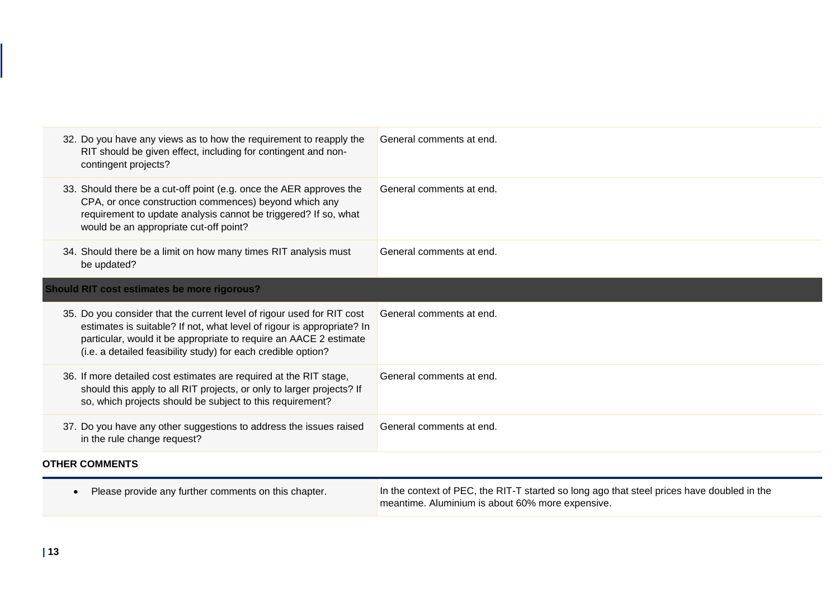| 32. Do you have any views as to how the requirement to reapply the<br>RIT should be given effect, including for contingent and non-<br>contingent projects?                                                                                                                            | General comments at end.                                                                                                                       |
|----------------------------------------------------------------------------------------------------------------------------------------------------------------------------------------------------------------------------------------------------------------------------------------|------------------------------------------------------------------------------------------------------------------------------------------------|
| 33. Should there be a cut-off point (e.g. once the AER approves the<br>CPA, or once construction commences) beyond which any<br>requirement to update analysis cannot be triggered? If so, what<br>would be an appropriate cut-off point?                                              | General comments at end.                                                                                                                       |
| 34. Should there be a limit on how many times RIT analysis must<br>be updated?                                                                                                                                                                                                         | General comments at end.                                                                                                                       |
| <b>Should RIT cost estimates be more rigorous?</b>                                                                                                                                                                                                                                     |                                                                                                                                                |
| 35. Do you consider that the current level of rigour used for RIT cost<br>estimates is suitable? If not, what level of rigour is appropriate? In<br>particular, would it be appropriate to require an AACE 2 estimate<br>(i.e. a detailed feasibility study) for each credible option? | General comments at end.                                                                                                                       |
| 36. If more detailed cost estimates are required at the RIT stage,<br>should this apply to all RIT projects, or only to larger projects? If<br>so, which projects should be subject to this requirement?                                                                               | General comments at end.                                                                                                                       |
| 37. Do you have any other suggestions to address the issues raised<br>in the rule change request?                                                                                                                                                                                      | General comments at end.                                                                                                                       |
| <b>OTHER COMMENTS</b>                                                                                                                                                                                                                                                                  |                                                                                                                                                |
| Please provide any further comments on this chapter.                                                                                                                                                                                                                                   | In the context of PEC, the RIT-T started so long ago that steel prices have doubled in the<br>meantime. Aluminium is about 60% more expensive. |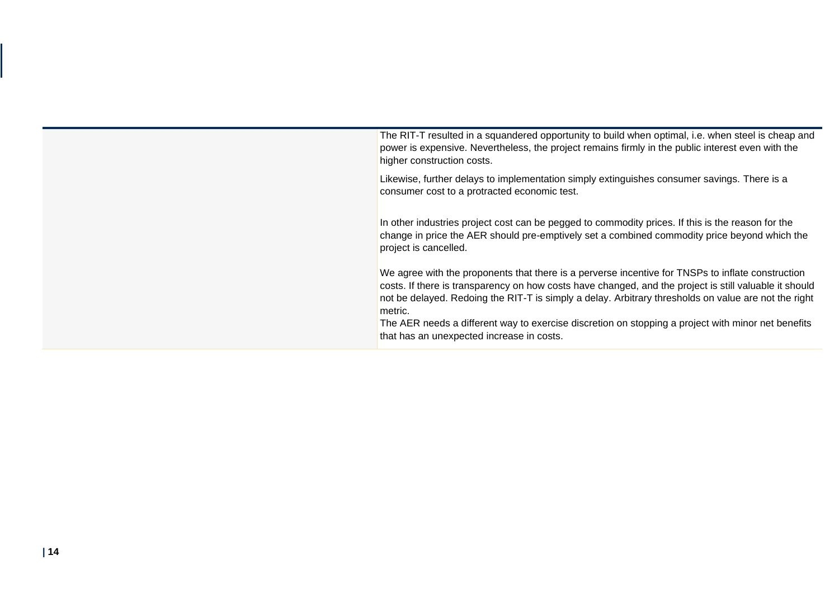The RIT-T resulted in a squandered opportunity to build when optimal, i.e. when steel is cheap and power is expensive. Nevertheless, the project remains firmly in the public interest even with the higher construction costs.

Likewise, further delays to implementation simply extinguishes consumer savings. There is a consumer cost to a protracted economic test.

In other industries project cost can be pegged to commodity prices. If this is the reason for the change in price the AER should pre-emptively set a combined commodity price beyond which the project is cancelled.

We agree with the proponents that there is a perverse incentive for TNSPs to inflate construction costs. If there is transparency on how costs have changed, and the project is still valuable it should not be delayed. Redoing the RIT-T is simply a delay. Arbitrary thresholds on value are not the right metric.

The AER needs a different way to exercise discretion on stopping a project with minor net benefits that has an unexpected increase in costs.